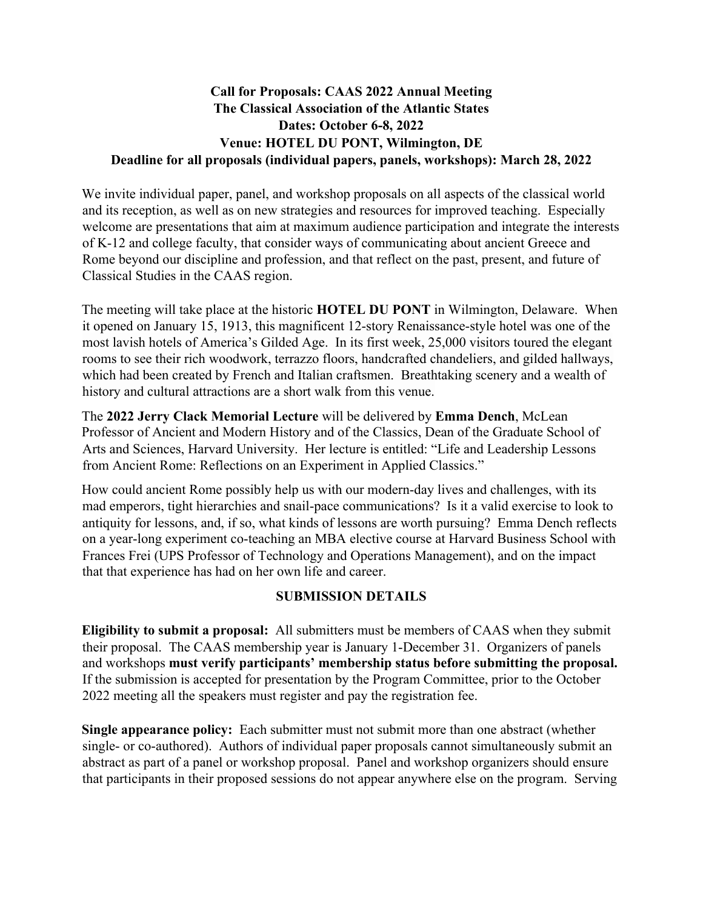## **Call for Proposals: CAAS 2022 Annual Meeting The Classical Association of the Atlantic States Dates: October 6-8, 2022 Venue: HOTEL DU PONT, Wilmington, DE Deadline for all proposals (individual papers, panels, workshops): March 28, 2022**

We invite individual paper, panel, and workshop proposals on all aspects of the classical world and its reception, as well as on new strategies and resources for improved teaching. Especially welcome are presentations that aim at maximum audience participation and integrate the interests of K-12 and college faculty, that consider ways of communicating about ancient Greece and Rome beyond our discipline and profession, and that reflect on the past, present, and future of Classical Studies in the CAAS region.

The meeting will take place at the historic **HOTEL DU PONT** in Wilmington, Delaware. When it opened on January 15, 1913, this magnificent 12-story Renaissance-style hotel was one of the most lavish hotels of America's Gilded Age. In its first week, 25,000 visitors toured the elegant rooms to see their rich woodwork, terrazzo floors, handcrafted chandeliers, and gilded hallways, which had been created by French and Italian craftsmen. Breathtaking scenery and a wealth of history and cultural attractions are a short walk from this venue.

The **2022 Jerry Clack Memorial Lecture** will be delivered by **Emma Dench**, McLean Professor of Ancient and Modern History and of the Classics, Dean of the Graduate School of Arts and Sciences, Harvard University. Her lecture is entitled: "Life and Leadership Lessons from Ancient Rome: Reflections on an Experiment in Applied Classics."

How could ancient Rome possibly help us with our modern-day lives and challenges, with its mad emperors, tight hierarchies and snail-pace communications? Is it a valid exercise to look to antiquity for lessons, and, if so, what kinds of lessons are worth pursuing? Emma Dench reflects on a year-long experiment co-teaching an MBA elective course at Harvard Business School with Frances Frei (UPS Professor of Technology and Operations Management), and on the impact that that experience has had on her own life and career.

## **SUBMISSION DETAILS**

**Eligibility to submit a proposal:** All submitters must be members of CAAS when they submit their proposal. The CAAS membership year is January 1-December 31. Organizers of panels and workshops **must verify participants' membership status before submitting the proposal.**  If the submission is accepted for presentation by the Program Committee, prior to the October 2022 meeting all the speakers must register and pay the registration fee.

**Single appearance policy:** Each submitter must not submit more than one abstract (whether single- or co-authored). Authors of individual paper proposals cannot simultaneously submit an abstract as part of a panel or workshop proposal. Panel and workshop organizers should ensure that participants in their proposed sessions do not appear anywhere else on the program. Serving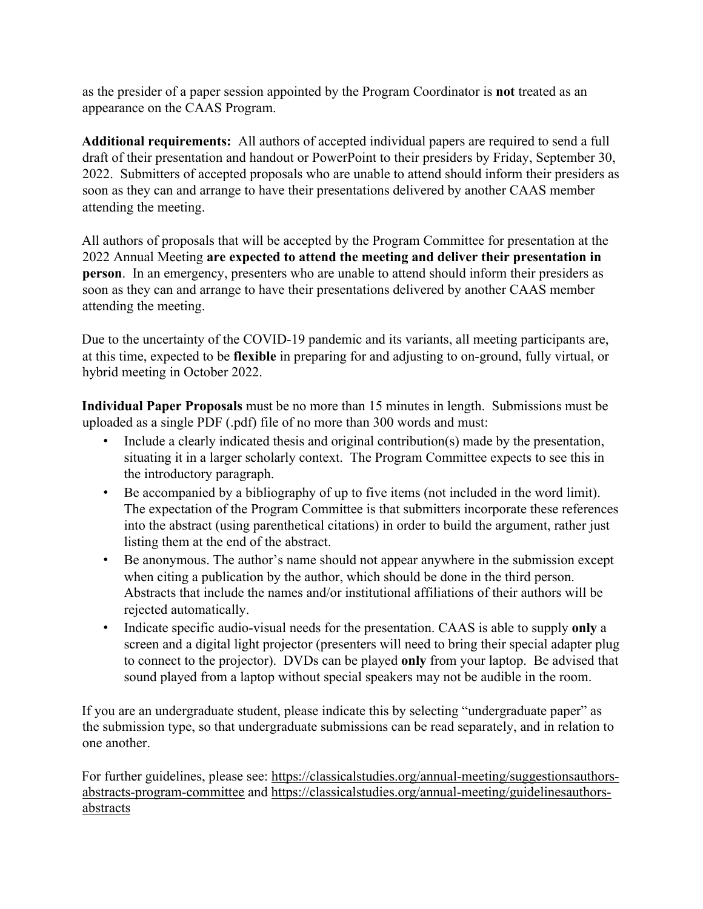as the presider of a paper session appointed by the Program Coordinator is **not** treated as an appearance on the CAAS Program.

**Additional requirements:** All authors of accepted individual papers are required to send a full draft of their presentation and handout or PowerPoint to their presiders by Friday, September 30, 2022. Submitters of accepted proposals who are unable to attend should inform their presiders as soon as they can and arrange to have their presentations delivered by another CAAS member attending the meeting.

All authors of proposals that will be accepted by the Program Committee for presentation at the 2022 Annual Meeting **are expected to attend the meeting and deliver their presentation in person**. In an emergency, presenters who are unable to attend should inform their presiders as soon as they can and arrange to have their presentations delivered by another CAAS member attending the meeting.

Due to the uncertainty of the COVID-19 pandemic and its variants, all meeting participants are, at this time, expected to be **flexible** in preparing for and adjusting to on-ground, fully virtual, or hybrid meeting in October 2022.

**Individual Paper Proposals** must be no more than 15 minutes in length. Submissions must be uploaded as a single PDF (.pdf) file of no more than 300 words and must:

- Include a clearly indicated thesis and original contribution(s) made by the presentation, situating it in a larger scholarly context. The Program Committee expects to see this in the introductory paragraph.
- Be accompanied by a bibliography of up to five items (not included in the word limit). The expectation of the Program Committee is that submitters incorporate these references into the abstract (using parenthetical citations) in order to build the argument, rather just listing them at the end of the abstract.
- Be anonymous. The author's name should not appear anywhere in the submission except when citing a publication by the author, which should be done in the third person. Abstracts that include the names and/or institutional affiliations of their authors will be rejected automatically.
- Indicate specific audio-visual needs for the presentation. CAAS is able to supply **only** a screen and a digital light projector (presenters will need to bring their special adapter plug to connect to the projector). DVDs can be played **only** from your laptop. Be advised that sound played from a laptop without special speakers may not be audible in the room.

If you are an undergraduate student, please indicate this by selecting "undergraduate paper" as the submission type, so that undergraduate submissions can be read separately, and in relation to one another.

For further guidelines, please see: https://classicalstudies.org/annual-meeting/suggestionsauthorsabstracts-program-committee and https://classicalstudies.org/annual-meeting/guidelinesauthorsabstracts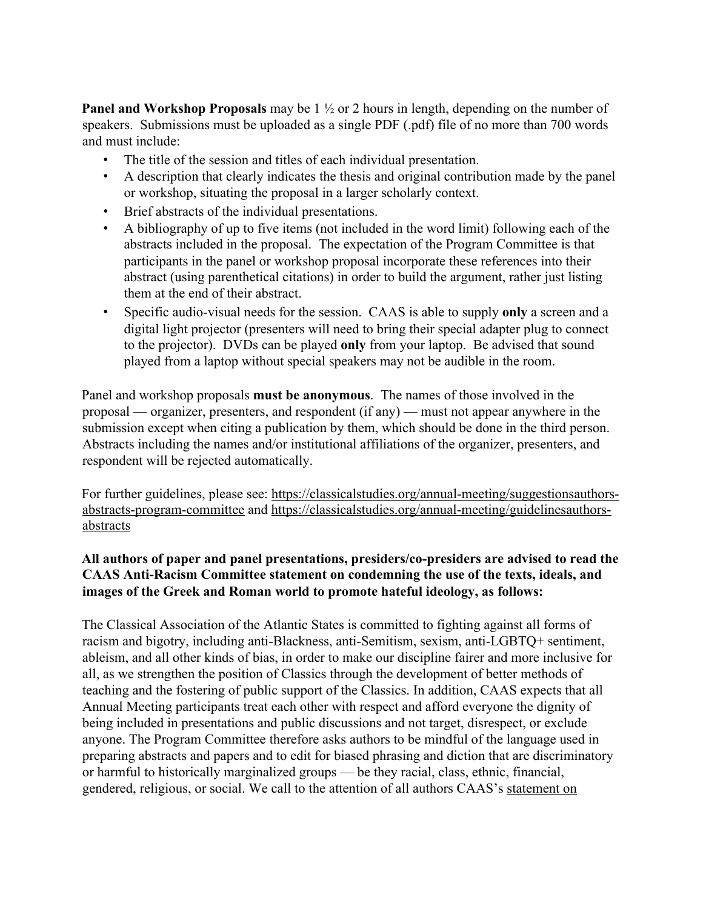**Panel and Workshop Proposals** may be 1 ½ or 2 hours in length, depending on the number of speakers. Submissions must be uploaded as a single PDF (.pdf) file of no more than 700 words and must include:

- The title of the session and titles of each individual presentation.
- A description that clearly indicates the thesis and original contribution made by the panel or workshop, situating the proposal in a larger scholarly context.
- Brief abstracts of the individual presentations.
- A bibliography of up to five items (not included in the word limit) following each of the abstracts included in the proposal. The expectation of the Program Committee is that participants in the panel or workshop proposal incorporate these references into their abstract (using parenthetical citations) in order to build the argument, rather just listing them at the end of their abstract.
- Specific audio-visual needs for the session. CAAS is able to supply **only** a screen and a digital light projector (presenters will need to bring their special adapter plug to connect to the projector). DVDs can be played **only** from your laptop. Be advised that sound played from a laptop without special speakers may not be audible in the room.

Panel and workshop proposals **must be anonymous**. The names of those involved in the proposal — organizer, presenters, and respondent (if any) — must not appear anywhere in the submission except when citing a publication by them, which should be done in the third person. Abstracts including the names and/or institutional affiliations of the organizer, presenters, and respondent will be rejected automatically.

For further guidelines, please see: https://classicalstudies.org/annual-meeting/suggestionsauthorsabstracts-program-committee and https://classicalstudies.org/annual-meeting/guidelinesauthorsabstracts

## **All authors of paper and panel presentations, presiders/co-presiders are advised to read the CAAS Anti-Racism Committee statement on condemning the use of the texts, ideals, and images of the Greek and Roman world to promote hateful ideology, as follows:**

The Classical Association of the Atlantic States is committed to fighting against all forms of racism and bigotry, including anti-Blackness, anti-Semitism, sexism, anti-LGBTQ+ sentiment, ableism, and all other kinds of bias, in order to make our discipline fairer and more inclusive for all, as we strengthen the position of Classics through the development of better methods of teaching and the fostering of public support of the Classics. In addition, CAAS expects that all Annual Meeting participants treat each other with respect and afford everyone the dignity of being included in presentations and public discussions and not target, disrespect, or exclude anyone. The Program Committee therefore asks authors to be mindful of the language used in preparing abstracts and papers and to edit for biased phrasing and diction that are discriminatory or harmful to historically marginalized groups — be they racial, class, ethnic, financial, gendered, religious, or social. We call to the attention of all authors CAAS's statement on